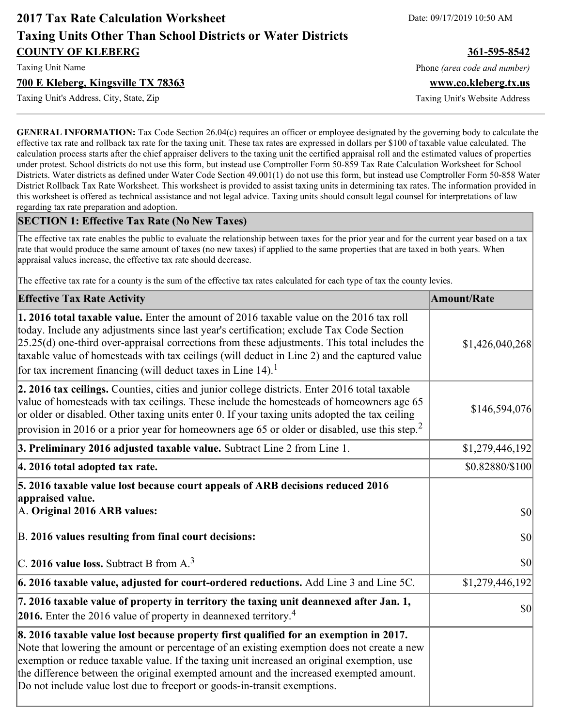# **2017 Tax Rate Calculation Worksheet** Date: 09/17/2019 10:50 AM **Taxing Units Other Than School Districts or Water Districts COUNTY OF KLEBERG 361-595-8542**

#### **700 E Kleberg, Kingsville TX 78363 www.co.kleberg.tx.us**

Taxing Unit's Address, City, State, Zip Taxing Unit's Website Address

Taxing Unit Name **Phone** *(area code and number)* Phone *(area code and number)* 

**GENERAL INFORMATION:** Tax Code Section 26.04(c) requires an officer or employee designated by the governing body to calculate the effective tax rate and rollback tax rate for the taxing unit. These tax rates are expressed in dollars per \$100 of taxable value calculated. The calculation process starts after the chief appraiser delivers to the taxing unit the certified appraisal roll and the estimated values of properties under protest. School districts do not use this form, but instead use Comptroller Form 50-859 Tax Rate Calculation Worksheet for School Districts. Water districts as defined under Water Code Section 49.001(1) do not use this form, but instead use Comptroller Form 50-858 Water District Rollback Tax Rate Worksheet. This worksheet is provided to assist taxing units in determining tax rates. The information provided in this worksheet is offered as technical assistance and not legal advice. Taxing units should consult legal counsel for interpretations of law regarding tax rate preparation and adoption.

#### **SECTION 1: Effective Tax Rate (No New Taxes)**

The effective tax rate enables the public to evaluate the relationship between taxes for the prior year and for the current year based on a tax rate that would produce the same amount of taxes (no new taxes) if applied to the same properties that are taxed in both years. When appraisal values increase, the effective tax rate should decrease.

The effective tax rate for a county is the sum of the effective tax rates calculated for each type of tax the county levies.

| <b>Effective Tax Rate Activity</b>                                                                                                                                                                                                                                                                                                                                                                                                                                      | <b>Amount/Rate</b> |
|-------------------------------------------------------------------------------------------------------------------------------------------------------------------------------------------------------------------------------------------------------------------------------------------------------------------------------------------------------------------------------------------------------------------------------------------------------------------------|--------------------|
| 1. 2016 total taxable value. Enter the amount of 2016 taxable value on the 2016 tax roll<br>today. Include any adjustments since last year's certification; exclude Tax Code Section<br>$[25.25(d)$ one-third over-appraisal corrections from these adjustments. This total includes the<br>taxable value of homesteads with tax ceilings (will deduct in Line 2) and the captured value<br>for tax increment financing (will deduct taxes in Line $14$ ). <sup>1</sup> | \$1,426,040,268    |
| 2. 2016 tax ceilings. Counties, cities and junior college districts. Enter 2016 total taxable<br>value of homesteads with tax ceilings. These include the homesteads of homeowners age 65<br>or older or disabled. Other taxing units enter 0. If your taxing units adopted the tax ceiling<br>provision in 2016 or a prior year for homeowners age 65 or older or disabled, use this step. <sup>2</sup>                                                                | \$146,594,076      |
| 3. Preliminary 2016 adjusted taxable value. Subtract Line 2 from Line 1.                                                                                                                                                                                                                                                                                                                                                                                                | \$1,279,446,192    |
| 4. 2016 total adopted tax rate.                                                                                                                                                                                                                                                                                                                                                                                                                                         | \$0.82880/\$100    |
| 5. 2016 taxable value lost because court appeals of ARB decisions reduced 2016<br>appraised value.<br>A. Original 2016 ARB values:                                                                                                                                                                                                                                                                                                                                      | $ 10\rangle$       |
| B. 2016 values resulting from final court decisions:<br>$\vert$ C. 2016 value loss. Subtract B from A. <sup>3</sup>                                                                                                                                                                                                                                                                                                                                                     | \$0 <br>\$0        |
| $\vert$ 6. 2016 taxable value, adjusted for court-ordered reductions. Add Line 3 and Line 5C.                                                                                                                                                                                                                                                                                                                                                                           | \$1,279,446,192    |
| 7. 2016 taxable value of property in territory the taxing unit deannexed after Jan. 1,<br>2016. Enter the 2016 value of property in deannexed territory. <sup>4</sup>                                                                                                                                                                                                                                                                                                   | \$0                |
| 8. 2016 taxable value lost because property first qualified for an exemption in 2017.<br>Note that lowering the amount or percentage of an existing exemption does not create a new<br>exemption or reduce taxable value. If the taxing unit increased an original exemption, use<br>the difference between the original exempted amount and the increased exempted amount.<br>Do not include value lost due to freeport or goods-in-transit exemptions.                |                    |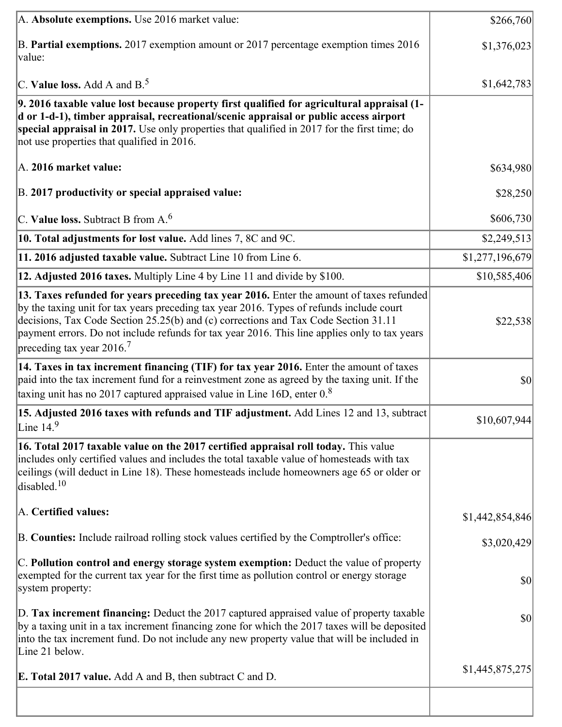| A. Absolute exemptions. Use 2016 market value:                                                                                                                                                                                                                                                                                                                                                                        | \$266,760       |
|-----------------------------------------------------------------------------------------------------------------------------------------------------------------------------------------------------------------------------------------------------------------------------------------------------------------------------------------------------------------------------------------------------------------------|-----------------|
| B. Partial exemptions. 2017 exemption amount or 2017 percentage exemption times 2016<br>value:                                                                                                                                                                                                                                                                                                                        | \$1,376,023     |
| C. Value loss. Add A and $B^5$ .                                                                                                                                                                                                                                                                                                                                                                                      | \$1,642,783     |
| 9. 2016 taxable value lost because property first qualified for agricultural appraisal (1-<br>d or 1-d-1), timber appraisal, recreational/scenic appraisal or public access airport<br>special appraisal in 2017. Use only properties that qualified in 2017 for the first time; do<br>not use properties that qualified in 2016.                                                                                     |                 |
| A. 2016 market value:                                                                                                                                                                                                                                                                                                                                                                                                 | \$634,980       |
| B. 2017 productivity or special appraised value:                                                                                                                                                                                                                                                                                                                                                                      | \$28,250        |
| $ C$ . Value loss. Subtract B from A. <sup>6</sup>                                                                                                                                                                                                                                                                                                                                                                    | \$606,730       |
| 10. Total adjustments for lost value. Add lines 7, 8C and 9C.                                                                                                                                                                                                                                                                                                                                                         | \$2,249,513     |
| 11. 2016 adjusted taxable value. Subtract Line 10 from Line 6.                                                                                                                                                                                                                                                                                                                                                        | \$1,277,196,679 |
| 12. Adjusted 2016 taxes. Multiply Line 4 by Line 11 and divide by \$100.                                                                                                                                                                                                                                                                                                                                              | \$10,585,406    |
| 13. Taxes refunded for years preceding tax year 2016. Enter the amount of taxes refunded<br>by the taxing unit for tax years preceding tax year 2016. Types of refunds include court<br>decisions, Tax Code Section 25.25(b) and (c) corrections and Tax Code Section 31.11<br>payment errors. Do not include refunds for tax year 2016. This line applies only to tax years<br>preceding tax year 2016. <sup>7</sup> | \$22,538        |
| 14. Taxes in tax increment financing (TIF) for tax year 2016. Enter the amount of taxes<br>paid into the tax increment fund for a reinvestment zone as agreed by the taxing unit. If the<br>taxing unit has no 2017 captured appraised value in Line 16D, enter $08$                                                                                                                                                  | $ 10\rangle$    |
| 15. Adjusted 2016 taxes with refunds and TIF adjustment. Add Lines 12 and 13, subtract<br>Line $14.9$                                                                                                                                                                                                                                                                                                                 | \$10,607,944    |
| 16. Total 2017 taxable value on the 2017 certified appraisal roll today. This value<br>includes only certified values and includes the total taxable value of homesteads with tax<br>ceilings (will deduct in Line 18). These homesteads include homeowners age 65 or older or<br>disabled. <sup>10</sup>                                                                                                             |                 |
| A. Certified values:                                                                                                                                                                                                                                                                                                                                                                                                  | \$1,442,854,846 |
| B. Counties: Include railroad rolling stock values certified by the Comptroller's office:                                                                                                                                                                                                                                                                                                                             | \$3,020,429     |
| C. Pollution control and energy storage system exemption: Deduct the value of property<br>exempted for the current tax year for the first time as pollution control or energy storage<br>system property:                                                                                                                                                                                                             | $ 10\rangle$    |
| D. Tax increment financing: Deduct the 2017 captured appraised value of property taxable<br>by a taxing unit in a tax increment financing zone for which the 2017 taxes will be deposited<br>into the tax increment fund. Do not include any new property value that will be included in<br>Line 21 below.                                                                                                            | $ 10\rangle$    |
| <b>E. Total 2017 value.</b> Add A and B, then subtract C and D.                                                                                                                                                                                                                                                                                                                                                       | \$1,445,875,275 |
|                                                                                                                                                                                                                                                                                                                                                                                                                       |                 |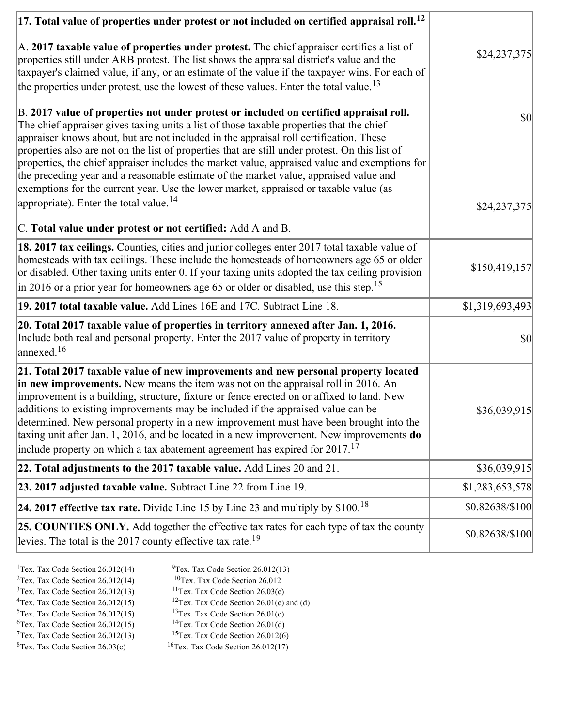| $ 17$ . Total value of properties under protest or not included on certified appraisal roll. <sup>12</sup>                                                                                                                                                                                                                                                                                                                                                                                                                                                                                                                                                         |                 |
|--------------------------------------------------------------------------------------------------------------------------------------------------------------------------------------------------------------------------------------------------------------------------------------------------------------------------------------------------------------------------------------------------------------------------------------------------------------------------------------------------------------------------------------------------------------------------------------------------------------------------------------------------------------------|-----------------|
| A. 2017 taxable value of properties under protest. The chief appraiser certifies a list of<br>properties still under ARB protest. The list shows the appraisal district's value and the<br>taxpayer's claimed value, if any, or an estimate of the value if the taxpayer wins. For each of<br>the properties under protest, use the lowest of these values. Enter the total value. <sup>13</sup>                                                                                                                                                                                                                                                                   | \$24,237,375    |
| B. 2017 value of properties not under protest or included on certified appraisal roll.<br>The chief appraiser gives taxing units a list of those taxable properties that the chief<br>appraiser knows about, but are not included in the appraisal roll certification. These<br>properties also are not on the list of properties that are still under protest. On this list of<br>properties, the chief appraiser includes the market value, appraised value and exemptions for<br>the preceding year and a reasonable estimate of the market value, appraised value and<br>exemptions for the current year. Use the lower market, appraised or taxable value (as | $ 10\rangle$    |
| appropriate). Enter the total value. <sup>14</sup>                                                                                                                                                                                                                                                                                                                                                                                                                                                                                                                                                                                                                 | \$24,237,375    |
| C. Total value under protest or not certified: Add A and B.                                                                                                                                                                                                                                                                                                                                                                                                                                                                                                                                                                                                        |                 |
| 18. 2017 tax ceilings. Counties, cities and junior colleges enter 2017 total taxable value of<br>homesteads with tax ceilings. These include the homesteads of homeowners age 65 or older<br>or disabled. Other taxing units enter 0. If your taxing units adopted the tax ceiling provision<br>in 2016 or a prior year for homeowners age 65 or older or disabled, use this step. <sup>15</sup>                                                                                                                                                                                                                                                                   | \$150,419,157   |
| 19. 2017 total taxable value. Add Lines 16E and 17C. Subtract Line 18.                                                                                                                                                                                                                                                                                                                                                                                                                                                                                                                                                                                             | \$1,319,693,493 |
| 20. Total 2017 taxable value of properties in territory annexed after Jan. 1, 2016.<br>Include both real and personal property. Enter the 2017 value of property in territory<br>annexed. <sup>16</sup>                                                                                                                                                                                                                                                                                                                                                                                                                                                            | $ 10\rangle$    |
| 21. Total 2017 taxable value of new improvements and new personal property located<br>in new improvements. New means the item was not on the appraisal roll in 2016. An<br>improvement is a building, structure, fixture or fence erected on or affixed to land. New<br>additions to existing improvements may be included if the appraised value can be<br>determined. New personal property in a new improvement must have been brought into the<br>taxing unit after Jan. 1, 2016, and be located in a new improvement. New improvements do<br>include property on which a tax abatement agreement has expired for $2017$ . <sup>17</sup>                       | \$36,039,915    |
| 22. Total adjustments to the 2017 taxable value. Add Lines 20 and 21.                                                                                                                                                                                                                                                                                                                                                                                                                                                                                                                                                                                              | \$36,039,915    |
| 23. 2017 adjusted taxable value. Subtract Line 22 from Line 19.                                                                                                                                                                                                                                                                                                                                                                                                                                                                                                                                                                                                    | \$1,283,653,578 |
| 24. 2017 effective tax rate. Divide Line 15 by Line 23 and multiply by $$100$ . <sup>18</sup>                                                                                                                                                                                                                                                                                                                                                                                                                                                                                                                                                                      | \$0.82638/\$100 |
| 25. COUNTIES ONLY. Add together the effective tax rates for each type of tax the county<br>levies. The total is the 2017 county effective tax rate. <sup>19</sup>                                                                                                                                                                                                                                                                                                                                                                                                                                                                                                  | \$0.82638/\$100 |

- <sup>1</sup>Tex. Tax Code Section 26.012(14) <sup>9</sup>Tex. Tax Code Section 26.012(13)
	-
- <sup>2</sup>Tex. Tax Code Section 26.012(14) <sup>10</sup>Tex. Tax Code Section 26.012<br><sup>3</sup>Tex. Tax Code Section 26.012(13) <sup>11</sup>Tex. Tax Code Section 26.03(c)
- $3$ Tex. Tax Code Section 26.012(13)<br> $4$ Tex. Tax Code Section 26.012(15) <sup>12</sup>Tex. Tax Code Section 26.01(c) and (d) <sup>13</sup>Tex. Tax Code Section 26.01(c)
- $5$ Tex. Tax Code Section 26.012(15)
- 
- <sup>6</sup>Tex. Tax Code Section 26.012(15) <sup>14</sup>Tex. Tax Code Section 26.01(d)<br><sup>7</sup>Tex. Tax Code Section 26.012(13) <sup>15</sup>Tex. Tax Code Section 26.012(6)
- $7$ Tex. Tax Code Section 26.012(13)<br><sup>8</sup>Tex. Tax Code Section 26.03(c)
- 
- $16$ Tex. Tax Code Section 26.012(17)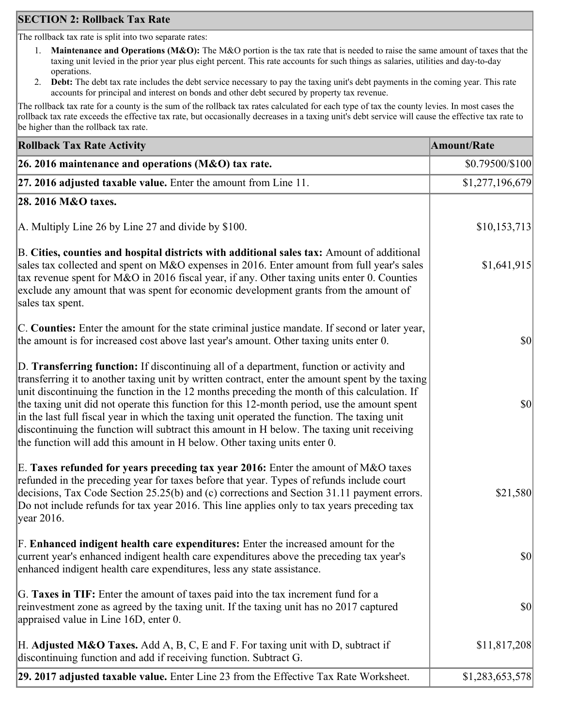# **SECTION 2: Rollback Tax Rate**

The rollback tax rate is split into two separate rates:

- 1. **Maintenance and Operations (M&O):** The M&O portion is the tax rate that is needed to raise the same amount of taxes that the taxing unit levied in the prior year plus eight percent. This rate accounts for such things as salaries, utilities and day-to-day operations.
- 2. **Debt:** The debt tax rate includes the debt service necessary to pay the taxing unit's debt payments in the coming year. This rate accounts for principal and interest on bonds and other debt secured by property tax revenue.

The rollback tax rate for a county is the sum of the rollback tax rates calculated for each type of tax the county levies. In most cases the rollback tax rate exceeds the effective tax rate, but occasionally decreases in a taxing unit's debt service will cause the effective tax rate to be higher than the rollback tax rate.

| <b>Rollback Tax Rate Activity</b>                                                                                                                                                                                                                                                                                                                                                                                                                                                                                                                                                                                                                                       | <b>Amount/Rate</b> |
|-------------------------------------------------------------------------------------------------------------------------------------------------------------------------------------------------------------------------------------------------------------------------------------------------------------------------------------------------------------------------------------------------------------------------------------------------------------------------------------------------------------------------------------------------------------------------------------------------------------------------------------------------------------------------|--------------------|
| 26. 2016 maintenance and operations ( $M&O$ ) tax rate.                                                                                                                                                                                                                                                                                                                                                                                                                                                                                                                                                                                                                 | \$0.79500/\$100    |
| 27. 2016 adjusted taxable value. Enter the amount from Line 11.                                                                                                                                                                                                                                                                                                                                                                                                                                                                                                                                                                                                         | \$1,277,196,679    |
| 28. 2016 M&O taxes.                                                                                                                                                                                                                                                                                                                                                                                                                                                                                                                                                                                                                                                     |                    |
| A. Multiply Line 26 by Line 27 and divide by \$100.                                                                                                                                                                                                                                                                                                                                                                                                                                                                                                                                                                                                                     | \$10,153,713       |
| B. Cities, counties and hospital districts with additional sales tax: Amount of additional<br>sales tax collected and spent on M&O expenses in 2016. Enter amount from full year's sales<br>tax revenue spent for M&O in 2016 fiscal year, if any. Other taxing units enter 0. Counties<br>exclude any amount that was spent for economic development grants from the amount of<br>sales tax spent.                                                                                                                                                                                                                                                                     | \$1,641,915        |
| C. Counties: Enter the amount for the state criminal justice mandate. If second or later year,<br>the amount is for increased cost above last year's amount. Other taxing units enter 0.                                                                                                                                                                                                                                                                                                                                                                                                                                                                                | $ 10\rangle$       |
| D. Transferring function: If discontinuing all of a department, function or activity and<br>transferring it to another taxing unit by written contract, enter the amount spent by the taxing<br>unit discontinuing the function in the 12 months preceding the month of this calculation. If<br>the taxing unit did not operate this function for this 12-month period, use the amount spent<br>in the last full fiscal year in which the taxing unit operated the function. The taxing unit<br>discontinuing the function will subtract this amount in H below. The taxing unit receiving<br>the function will add this amount in H below. Other taxing units enter 0. | $ 10\rangle$       |
| E. Taxes refunded for years preceding tax year 2016: Enter the amount of M&O taxes<br>refunded in the preceding year for taxes before that year. Types of refunds include court<br>decisions, Tax Code Section 25.25(b) and (c) corrections and Section 31.11 payment errors.<br>Do not include refunds for tax year 2016. This line applies only to tax years preceding tax<br> year 2016.                                                                                                                                                                                                                                                                             | \$21,580           |
| F. Enhanced indigent health care expenditures: Enter the increased amount for the<br>current year's enhanced indigent health care expenditures above the preceding tax year's<br>enhanced indigent health care expenditures, less any state assistance.                                                                                                                                                                                                                                                                                                                                                                                                                 | <b>\$0</b>         |
| G. Taxes in TIF: Enter the amount of taxes paid into the tax increment fund for a<br>reinvestment zone as agreed by the taxing unit. If the taxing unit has no 2017 captured<br>appraised value in Line 16D, enter 0.                                                                                                                                                                                                                                                                                                                                                                                                                                                   | $ 10\rangle$       |
| H. Adjusted M&O Taxes. Add A, B, C, E and F. For taxing unit with D, subtract if<br>discontinuing function and add if receiving function. Subtract G.                                                                                                                                                                                                                                                                                                                                                                                                                                                                                                                   | \$11,817,208       |
| 29. 2017 adjusted taxable value. Enter Line 23 from the Effective Tax Rate Worksheet.                                                                                                                                                                                                                                                                                                                                                                                                                                                                                                                                                                                   | \$1,283,653,578    |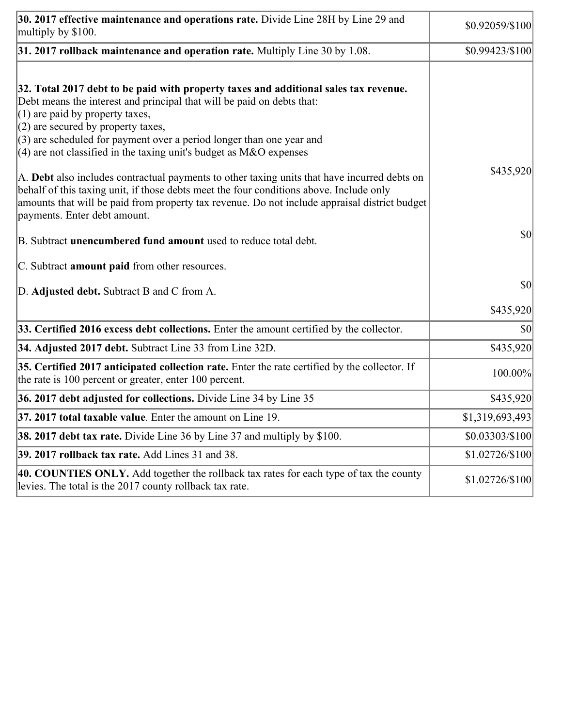| 30. 2017 effective maintenance and operations rate. Divide Line 28H by Line 29 and<br>multiply by \$100.                                                                                                                                                                                                                                                                                         | \$0.92059/\$100  |
|--------------------------------------------------------------------------------------------------------------------------------------------------------------------------------------------------------------------------------------------------------------------------------------------------------------------------------------------------------------------------------------------------|------------------|
| $31.2017$ rollback maintenance and operation rate. Multiply Line 30 by 1.08.                                                                                                                                                                                                                                                                                                                     | \$0.99423/\$100  |
| 32. Total 2017 debt to be paid with property taxes and additional sales tax revenue.<br>Debt means the interest and principal that will be paid on debts that:<br>$(1)$ are paid by property taxes,<br>$(2)$ are secured by property taxes,<br>$(3)$ are scheduled for payment over a period longer than one year and                                                                            |                  |
| $(4)$ are not classified in the taxing unit's budget as M&O expenses<br>A. Debt also includes contractual payments to other taxing units that have incurred debts on<br>behalf of this taxing unit, if those debts meet the four conditions above. Include only<br>amounts that will be paid from property tax revenue. Do not include appraisal district budget<br>payments. Enter debt amount. | \$435,920        |
| B. Subtract <b>unencumbered fund amount</b> used to reduce total debt.                                                                                                                                                                                                                                                                                                                           | \$0              |
| C. Subtract <b>amount paid</b> from other resources.                                                                                                                                                                                                                                                                                                                                             |                  |
| D. Adjusted debt. Subtract B and C from A.                                                                                                                                                                                                                                                                                                                                                       | \$0              |
|                                                                                                                                                                                                                                                                                                                                                                                                  | \$435,920        |
| 33. Certified 2016 excess debt collections. Enter the amount certified by the collector.                                                                                                                                                                                                                                                                                                         | \$0              |
| 34. Adjusted 2017 debt. Subtract Line 33 from Line 32D.                                                                                                                                                                                                                                                                                                                                          | \$435,920        |
| 35. Certified 2017 anticipated collection rate. Enter the rate certified by the collector. If<br>the rate is 100 percent or greater, enter 100 percent.                                                                                                                                                                                                                                          | 100.00%          |
| 36. 2017 debt adjusted for collections. Divide Line 34 by Line 35                                                                                                                                                                                                                                                                                                                                | \$435,920        |
| $ 37, 2017$ total taxable value. Enter the amount on Line 19.                                                                                                                                                                                                                                                                                                                                    | \$1,319,693,493  |
| <b>38. 2017 debt tax rate.</b> Divide Line 36 by Line 37 and multiply by \$100.                                                                                                                                                                                                                                                                                                                  | $$0.03303/\$100$ |
| 39. 2017 rollback tax rate. Add Lines 31 and 38.                                                                                                                                                                                                                                                                                                                                                 | \$1.02726/\$100  |
| 40. COUNTIES ONLY. Add together the rollback tax rates for each type of tax the county<br>levies. The total is the 2017 county rollback tax rate.                                                                                                                                                                                                                                                | \$1.02726/\$100  |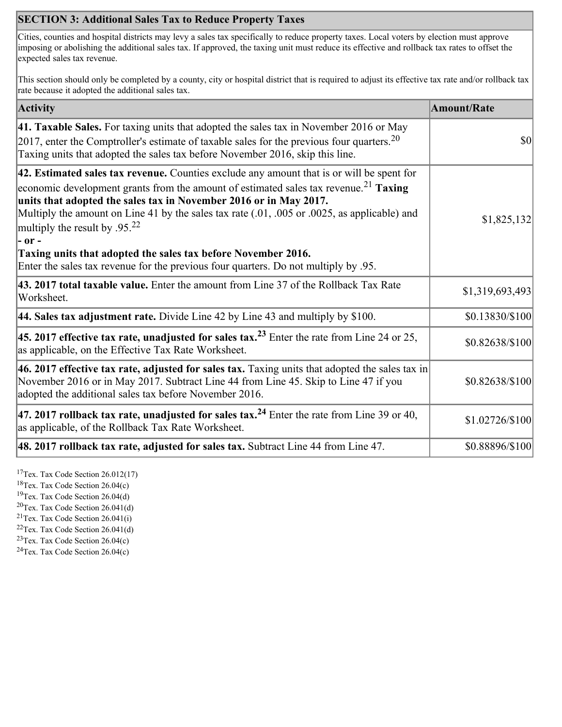# **SECTION 3: Additional Sales Tax to Reduce Property Taxes**

Cities, counties and hospital districts may levy a sales tax specifically to reduce property taxes. Local voters by election must approve imposing or abolishing the additional sales tax. If approved, the taxing unit must reduce its effective and rollback tax rates to offset the expected sales tax revenue.

This section should only be completed by a county, city or hospital district that is required to adjust its effective tax rate and/or rollback tax rate because it adopted the additional sales tax.

| <b>Activity</b>                                                                                                                                                                                                                                                                                                                                                                                                                | <b>Amount/Rate</b> |
|--------------------------------------------------------------------------------------------------------------------------------------------------------------------------------------------------------------------------------------------------------------------------------------------------------------------------------------------------------------------------------------------------------------------------------|--------------------|
| 41. Taxable Sales. For taxing units that adopted the sales tax in November 2016 or May<br>[2017, enter the Comptroller's estimate of taxable sales for the previous four quarters. <sup>20</sup><br>Taxing units that adopted the sales tax before November 2016, skip this line.                                                                                                                                              | $\vert$ \$0        |
| $ 42$ . Estimated sales tax revenue. Counties exclude any amount that is or will be spent for<br>economic development grants from the amount of estimated sales tax revenue. <sup>21</sup> Taxing<br>units that adopted the sales tax in November 2016 or in May 2017.<br>Multiply the amount on Line 41 by the sales tax rate (.01, .005 or .0025, as applicable) and<br>multiply the result by .95. <sup>22</sup><br> - or - | \$1,825,132        |
| Taxing units that adopted the sales tax before November 2016.<br>Enter the sales tax revenue for the previous four quarters. Do not multiply by .95.                                                                                                                                                                                                                                                                           |                    |
| 43. 2017 total taxable value. Enter the amount from Line 37 of the Rollback Tax Rate<br>Worksheet.                                                                                                                                                                                                                                                                                                                             | \$1,319,693,493    |
| <b>44. Sales tax adjustment rate.</b> Divide Line 42 by Line 43 and multiply by \$100.                                                                                                                                                                                                                                                                                                                                         | \$0.13830/\$100    |
| 45. 2017 effective tax rate, unadjusted for sales tax. <sup>23</sup> Enter the rate from Line 24 or 25,<br>as applicable, on the Effective Tax Rate Worksheet.                                                                                                                                                                                                                                                                 | \$0.82638/\$100    |
| 46. 2017 effective tax rate, adjusted for sales tax. Taxing units that adopted the sales tax in<br>November 2016 or in May 2017. Subtract Line 44 from Line 45. Skip to Line 47 if you<br>adopted the additional sales tax before November 2016.                                                                                                                                                                               | \$0.82638/\$100    |
| 47. 2017 rollback tax rate, unadjusted for sales tax. <sup>24</sup> Enter the rate from Line 39 or 40,<br>as applicable, of the Rollback Tax Rate Worksheet.                                                                                                                                                                                                                                                                   | \$1.02726/\$100    |
| $ 48.2017$ rollback tax rate, adjusted for sales tax. Subtract Line 44 from Line 47.                                                                                                                                                                                                                                                                                                                                           | \$0.88896/\$100    |

<sup>17</sup>Tex. Tax Code Section  $26.012(17)$ 

<sup>18</sup>Tex. Tax Code Section 26.04(c)

<sup>19</sup>Tex. Tax Code Section 26.04(d)

 ${}^{20}$ Tex. Tax Code Section 26.041(d) <sup>21</sup>Tex. Tax Code Section  $26.041(i)$ 

 $22$ Tex. Tax Code Section 26.041(d)

<sup>23</sup>Tex. Tax Code Section 26.04(c)

 $24$ Tex. Tax Code Section 26.04(c)